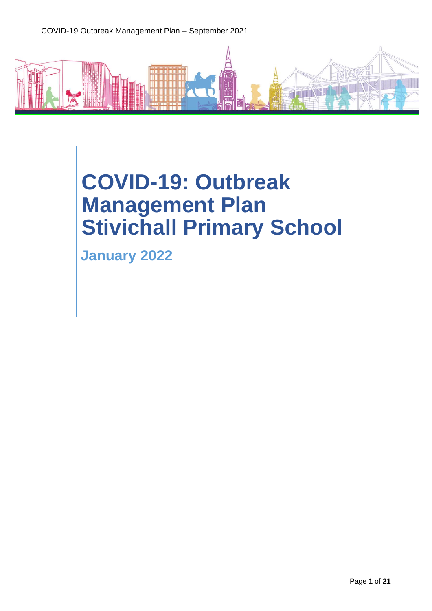# **COVID-19: Outbreak Management Plan Stivichall Primary School**

**January 2022**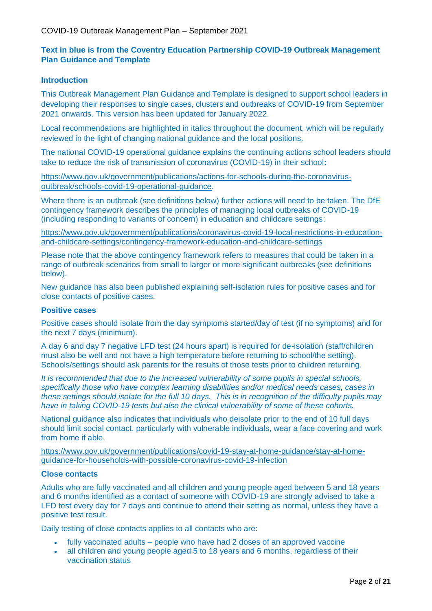# **Text in blue is from the Coventry Education Partnership COVID-19 Outbreak Management Plan Guidance and Template**

#### **Introduction**

This Outbreak Management Plan Guidance and Template is designed to support school leaders in developing their responses to single cases, clusters and outbreaks of COVID-19 from September 2021 onwards. This version has been updated for January 2022.

Local recommendations are highlighted in italics throughout the document, which will be regularly reviewed in the light of changing national guidance and the local positions.

The national COVID-19 operational guidance explains the continuing actions school leaders should take to reduce the risk of transmission of coronavirus (COVID-19) in their school**:**

[https://www.gov.uk/government/publications/actions-for-schools-during-the-coronavirus](https://www.gov.uk/government/publications/actions-for-schools-during-the-coronavirus-outbreak/schools-covid-19-operational-guidance)[outbreak/schools-covid-19-operational-guidance.](https://www.gov.uk/government/publications/actions-for-schools-during-the-coronavirus-outbreak/schools-covid-19-operational-guidance)

Where there is an outbreak (see definitions below) further actions will need to be taken. The DfE contingency framework describes the principles of managing local outbreaks of COVID-19 (including responding to variants of concern) in education and childcare settings:

[https://www.gov.uk/government/publications/coronavirus-covid-19-local-restrictions-in-education](https://www.gov.uk/government/publications/coronavirus-covid-19-local-restrictions-in-education-and-childcare-settings/contingency-framework-education-and-childcare-settings)[and-childcare-settings/contingency-framework-education-and-childcare-settings](https://www.gov.uk/government/publications/coronavirus-covid-19-local-restrictions-in-education-and-childcare-settings/contingency-framework-education-and-childcare-settings)

Please note that the above contingency framework refers to measures that could be taken in a range of outbreak scenarios from small to larger or more significant outbreaks (see definitions below).

New guidance has also been published explaining self-isolation rules for positive cases and for close contacts of positive cases.

#### **Positive cases**

Positive cases should isolate from the day symptoms started/day of test (if no symptoms) and for the next 7 days (minimum).

A day 6 and day 7 negative LFD test (24 hours apart) is required for de-isolation (staff/children must also be well and not have a high temperature before returning to school/the setting). Schools/settings should ask parents for the results of those tests prior to children returning.

*It is recommended that due to the increased vulnerability of some pupils in special schools, specifically those who have complex learning disabilities and/or medical needs cases, cases in these settings should isolate for the full 10 days. This is in recognition of the difficulty pupils may have in taking COVID-19 tests but also the clinical vulnerability of some of these cohorts.* 

National guidance also indicates that individuals who deisolate prior to the end of 10 full days should limit social contact, particularly with vulnerable individuals, wear a face covering and work from home if able.

[https://www.gov.uk/government/publications/covid-19-stay-at-home-guidance/stay-at-home](https://www.gov.uk/government/publications/covid-19-stay-at-home-guidance/stay-at-home-guidance-for-households-with-possible-coronavirus-covid-19-infection)[guidance-for-households-with-possible-coronavirus-covid-19-infection](https://www.gov.uk/government/publications/covid-19-stay-at-home-guidance/stay-at-home-guidance-for-households-with-possible-coronavirus-covid-19-infection)

#### **Close contacts**

Adults who are fully vaccinated and all children and young people aged between 5 and 18 years and 6 months identified as a contact of someone with COVID-19 are strongly advised to take a LFD test every day for 7 days and continue to attend their setting as normal, unless they have a positive test result.

Daily testing of close contacts applies to all contacts who are:

- fully vaccinated adults people who have had 2 doses of an approved vaccine
- all children and young people aged 5 to 18 years and 6 months, regardless of their vaccination status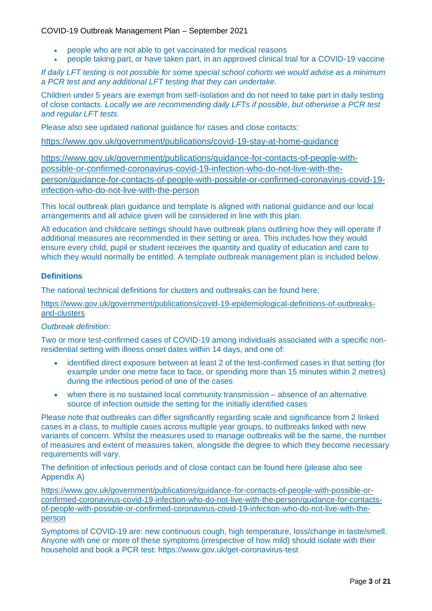- people who are not able to get vaccinated for medical reasons
- people taking part, or have taken part, in an approved clinical trial for a COVID-19 vaccine

*If daily LFT testing is not possible for some special school cohorts we would advise as a minimum a PCR test and any additional LFT testing that they can undertake.* 

Children under 5 years are exempt from self-isolation and do not need to take part in daily testing of close contacts. *Locally we are recommending daily LFTs if possible, but otherwise a PCR test and regular LFT tests.* 

Please also see updated national guidance for cases and close contacts:

https://www.gov.uk/government/publications/covid-19-stay-at-home-guidance

[https://www.gov.uk/government/publications/guidance-for-contacts-of-people-with](https://www.gov.uk/government/publications/guidance-for-contacts-of-people-with-possible-or-confirmed-coronavirus-covid-19-infection-who-do-not-live-with-the-person/guidance-for-contacts-of-people-with-possible-or-confirmed-coronavirus-covid-19-infection-who-do-not-live-with-the-person)[possible-or-confirmed-coronavirus-covid-19-infection-who-do-not-live-with-the](https://www.gov.uk/government/publications/guidance-for-contacts-of-people-with-possible-or-confirmed-coronavirus-covid-19-infection-who-do-not-live-with-the-person/guidance-for-contacts-of-people-with-possible-or-confirmed-coronavirus-covid-19-infection-who-do-not-live-with-the-person)[person/guidance-for-contacts-of-people-with-possible-or-confirmed-coronavirus-covid-19](https://www.gov.uk/government/publications/guidance-for-contacts-of-people-with-possible-or-confirmed-coronavirus-covid-19-infection-who-do-not-live-with-the-person/guidance-for-contacts-of-people-with-possible-or-confirmed-coronavirus-covid-19-infection-who-do-not-live-with-the-person) [infection-who-do-not-live-with-the-person](https://www.gov.uk/government/publications/guidance-for-contacts-of-people-with-possible-or-confirmed-coronavirus-covid-19-infection-who-do-not-live-with-the-person/guidance-for-contacts-of-people-with-possible-or-confirmed-coronavirus-covid-19-infection-who-do-not-live-with-the-person)

This local outbreak plan guidance and template is aligned with national guidance and our local arrangements and all advice given will be considered in line with this plan.

All education and childcare settings should have outbreak plans outlining how they will operate if additional measures are recommended in their setting or area. This includes how they would ensure every child, pupil or student receives the quantity and quality of education and care to which they would normally be entitled. A template outbreak management plan is included below.

# **Definitions**

The national technical definitions for clusters and outbreaks can be found here:

[https://www.gov.uk/government/publications/covid-19-epidemiological-definitions-of-outbreaks](https://www.gov.uk/government/publications/covid-19-epidemiological-definitions-of-outbreaks-and-clusters)[and-clusters](https://www.gov.uk/government/publications/covid-19-epidemiological-definitions-of-outbreaks-and-clusters)

# *Outbreak definition:*

Two or more test-confirmed cases of COVID-19 among individuals associated with a specific nonresidential setting with illness onset dates within 14 days, and one of:

- identified direct exposure between at least 2 of the test-confirmed cases in that setting (for example under one metre face to face, or spending more than 15 minutes within 2 metres) during the infectious period of one of the cases
- when there is no sustained local community transmission absence of an alternative source of infection outside the setting for the initially identified cases

Please note that outbreaks can differ significantly regarding scale and significance from 2 linked cases in a class, to multiple cases across multiple year groups, to outbreaks linked with new variants of concern. Whilst the measures used to manage outbreaks will be the same, the number of measures and extent of measures taken, alongside the degree to which they become necessary requirements will vary.

The definition of infectious periods and of close contact can be found here (please also see Appendix A)

[https://www.gov.uk/government/publications/guidance-for-contacts-of-people-with-possible-or](https://www.gov.uk/government/publications/guidance-for-contacts-of-people-with-possible-or-confirmed-coronavirus-covid-19-infection-who-do-not-live-with-the-person/guidance-for-contacts-of-people-with-possible-or-confirmed-coronavirus-covid-19-infection-who-do-not-live-with-the-person)[confirmed-coronavirus-covid-19-infection-who-do-not-live-with-the-person/guidance-for-contacts](https://www.gov.uk/government/publications/guidance-for-contacts-of-people-with-possible-or-confirmed-coronavirus-covid-19-infection-who-do-not-live-with-the-person/guidance-for-contacts-of-people-with-possible-or-confirmed-coronavirus-covid-19-infection-who-do-not-live-with-the-person)[of-people-with-possible-or-confirmed-coronavirus-covid-19-infection-who-do-not-live-with-the](https://www.gov.uk/government/publications/guidance-for-contacts-of-people-with-possible-or-confirmed-coronavirus-covid-19-infection-who-do-not-live-with-the-person/guidance-for-contacts-of-people-with-possible-or-confirmed-coronavirus-covid-19-infection-who-do-not-live-with-the-person)[person](https://www.gov.uk/government/publications/guidance-for-contacts-of-people-with-possible-or-confirmed-coronavirus-covid-19-infection-who-do-not-live-with-the-person/guidance-for-contacts-of-people-with-possible-or-confirmed-coronavirus-covid-19-infection-who-do-not-live-with-the-person)

Symptoms of COVID-19 are: new continuous cough, high temperature, loss/change in taste/smell. Anyone with one or more of these symptoms (irrespective of how mild) should isolate with their household and book a PCR test: https://www.gov.uk/get-coronavirus-test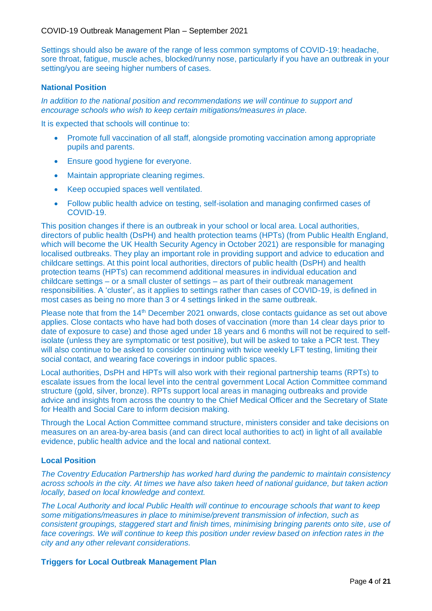Settings should also be aware of the range of less common symptoms of COVID-19: headache, sore throat, fatigue, muscle aches, blocked/runny nose, particularly if you have an outbreak in your setting/you are seeing higher numbers of cases.

### **National Position**

*In addition to the national position and recommendations we will continue to support and encourage schools who wish to keep certain mitigations/measures in place.*

It is expected that schools will continue to:

- Promote full vaccination of all staff, alongside promoting vaccination among appropriate pupils and parents.
- Ensure good hygiene for everyone.
- Maintain appropriate cleaning regimes.
- Keep occupied spaces well ventilated.
- Follow public health advice on testing, self-isolation and managing confirmed cases of COVID-19.

This position changes if there is an outbreak in your school or local area. Local authorities, directors of public health (DsPH) and health protection teams (HPTs) (from Public Health England, which will become the UK Health Security Agency in October 2021) are responsible for managing localised outbreaks. They play an important role in providing support and advice to education and childcare settings. At this point local authorities, directors of public health (DsPH) and health protection teams (HPTs) can recommend additional measures in individual education and childcare settings – or a small cluster of settings – as part of their outbreak management responsibilities. A 'cluster', as it applies to settings rather than cases of COVID-19, is defined in most cases as being no more than 3 or 4 settings linked in the same outbreak.

Please note that from the 14<sup>th</sup> December 2021 onwards, close contacts guidance as set out above applies. Close contacts who have had both doses of vaccination (more than 14 clear days prior to date of exposure to case) and those aged under 18 years and 6 months will not be required to selfisolate (unless they are symptomatic or test positive), but will be asked to take a PCR test. They will also continue to be asked to consider continuing with twice weekly LFT testing, limiting their social contact, and wearing face coverings in indoor public spaces.

Local authorities, DsPH and HPTs will also work with their regional partnership teams (RPTs) to escalate issues from the local level into the central government Local Action Committee command structure (gold, silver, bronze). RPTs support local areas in managing outbreaks and provide advice and insights from across the country to the Chief Medical Officer and the Secretary of State for Health and Social Care to inform decision making.

Through the Local Action Committee command structure, ministers consider and take decisions on measures on an area-by-area basis (and can direct local authorities to act) in light of all available evidence, public health advice and the local and national context.

# **Local Position**

*The Coventry Education Partnership has worked hard during the pandemic to maintain consistency across schools in the city. At times we have also taken heed of national guidance, but taken action locally, based on local knowledge and context.* 

*The Local Authority and local Public Health will continue to encourage schools that want to keep some mitigations/measures in place to minimise/prevent transmission of infection, such as consistent groupings, staggered start and finish times, minimising bringing parents onto site, use of*  face coverings. We will continue to keep this position under review based on infection rates in the *city and any other relevant considerations.*

#### **Triggers for Local Outbreak Management Plan**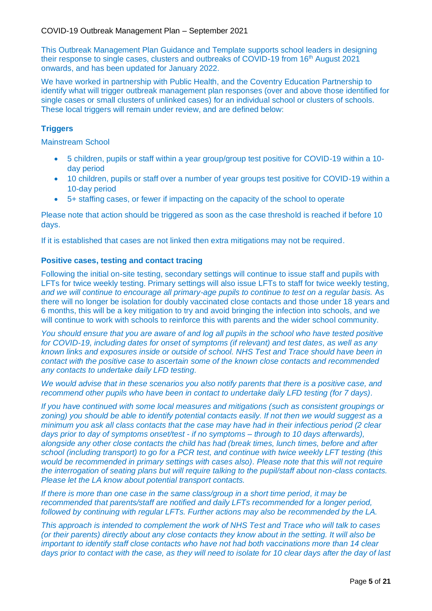This Outbreak Management Plan Guidance and Template supports school leaders in designing their response to single cases, clusters and outbreaks of COVID-19 from 16th August 2021 onwards, and has been updated for January 2022.

We have worked in partnership with Public Health, and the Coventry Education Partnership to identify what will trigger outbreak management plan responses (over and above those identified for single cases or small clusters of unlinked cases) for an individual school or clusters of schools. These local triggers will remain under review, and are defined below:

# **Triggers**

Mainstream School

- 5 children, pupils or staff within a year group/group test positive for COVID-19 within a 10 day period
- 10 children, pupils or staff over a number of year groups test positive for COVID-19 within a 10-day period
- 5+ staffing cases, or fewer if impacting on the capacity of the school to operate

Please note that action should be triggered as soon as the case threshold is reached if before 10 days.

If it is established that cases are not linked then extra mitigations may not be required.

# **Positive cases, testing and contact tracing**

Following the initial on-site testing, secondary settings will continue to issue staff and pupils with LFTs for twice weekly testing. Primary settings will also issue LFTs to staff for twice weekly testing*, and we will continue to encourage all primary-age pupils to continue to test on a regular basis.* As there will no longer be isolation for doubly vaccinated close contacts and those under 18 years and 6 months, this will be a key mitigation to try and avoid bringing the infection into schools, and we will continue to work with schools to reinforce this with parents and the wider school community.

*You should ensure that you are aware of and log all pupils in the school who have tested positive for COVID-19, including dates for onset of symptoms (if relevant) and test dates, as well as any known links and exposures inside or outside of school. NHS Test and Trace should have been in contact with the positive case to ascertain some of the known close contacts and recommended any contacts to undertake daily LFD testing.*

*We would advise that in these scenarios you also notify parents that there is a positive case, and recommend other pupils who have been in contact to undertake daily LFD testing (for 7 days).*

*If you have continued with some local measures and mitigations (such as consistent groupings or zoning) you should be able to identify potential contacts easily. If not then we would suggest as a minimum you ask all class contacts that the case may have had in their infectious period (2 clear days prior to day of symptoms onset/test - if no symptoms – through to 10 days afterwards), alongside any other close contacts the child has had (break times, lunch times, before and after school (including transport) to go for a PCR test, and continue with twice weekly LFT testing (this would be recommended in primary settings with cases also). Please note that this will not require the interrogation of seating plans but will require talking to the pupil/staff about non-class contacts. Please let the LA know about potential transport contacts.*

*If there is more than one case in the same class/group in a short time period, it may be recommended that parents/staff are notified and daily LFTs recommended for a longer period, followed by continuing with regular LFTs. Further actions may also be recommended by the LA.* 

*This approach is intended to complement the work of NHS Test and Trace who will talk to cases (or their parents) directly about any close contacts they know about in the setting. It will also be important to identify staff close contacts who have not had both vaccinations more than 14 clear days prior to contact with the case, as they will need to isolate for 10 clear days after the day of last*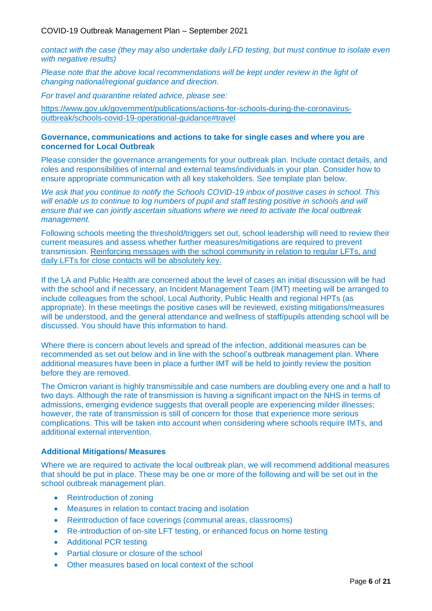*contact with the case (they may also undertake daily LFD testing, but must continue to isolate even with negative results)*

*Please note that the above local recommendations will be kept under review in the light of changing national/regional guidance and direction.* 

*For travel and quarantine related advice, please see:*

[https://www.gov.uk/government/publications/actions-for-schools-during-the-coronavirus](https://www.gov.uk/government/publications/actions-for-schools-during-the-coronavirus-outbreak/schools-covid-19-operational-guidance#travel)[outbreak/schools-covid-19-operational-guidance#travel](https://www.gov.uk/government/publications/actions-for-schools-during-the-coronavirus-outbreak/schools-covid-19-operational-guidance#travel)

#### **Governance, communications and actions to take for single cases and where you are concerned for Local Outbreak**

Please consider the governance arrangements for your outbreak plan. Include contact details, and roles and responsibilities of internal and external teams/individuals in your plan. Consider how to ensure appropriate communication with all key stakeholders. See template plan below.

*We ask that you continue to notify the Schools COVID-19 inbox of positive cases in school. This*  will enable us to continue to log numbers of pupil and staff testing positive in schools and will *ensure that we can jointly ascertain situations where we need to activate the local outbreak management.*

Following schools meeting the threshold/triggers set out, school leadership will need to review their current measures and assess whether further measures/mitigations are required to prevent transmission. Reinforcing messages with the school community in relation to regular LFTs, and daily LFTs for close contacts will be absolutely key.

If the LA and Public Health are concerned about the level of cases an initial discussion will be had with the school and if necessary, an Incident Management Team (IMT) meeting will be arranged to include colleagues from the school, Local Authority, Public Health and regional HPTs (as appropriate). In these meetings the positive cases will be reviewed, existing mitigations/measures will be understood, and the general attendance and wellness of staff/pupils attending school will be discussed. You should have this information to hand.

Where there is concern about levels and spread of the infection, additional measures can be recommended as set out below and in line with the school's outbreak management plan. Where additional measures have been in place a further IMT will be held to jointly review the position before they are removed.

The Omicron variant is highly transmissible and case numbers are doubling every one and a half to two days. Although the rate of transmission is having a significant impact on the NHS in terms of admissions, emerging evidence suggests that overall people are experiencing milder illnesses; however, the rate of transmission is still of concern for those that experience more serious complications. This will be taken into account when considering where schools require IMTs, and additional external intervention.

#### **Additional Mitigations/ Measures**

Where we are required to activate the local outbreak plan, we will recommend additional measures that should be put in place. These may be one or more of the following and will be set out in the school outbreak management plan.

- Reintroduction of zoning
- Measures in relation to contact tracing and isolation
- Reintroduction of face coverings (communal areas, classrooms)
- Re-introduction of on-site LFT testing, or enhanced focus on home testing
- Additional PCR testing
- Partial closure or closure of the school
- Other measures based on local context of the school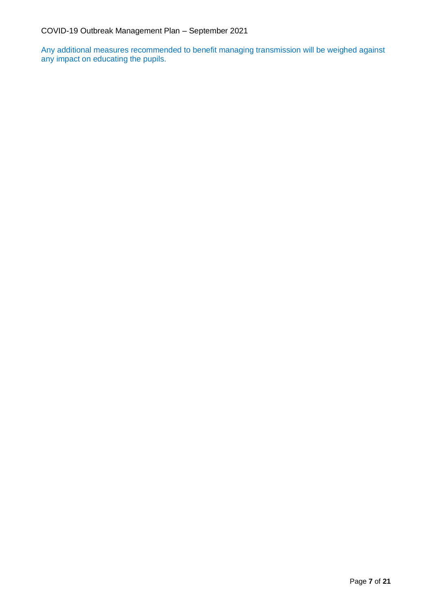Any additional measures recommended to benefit managing transmission will be weighed against any impact on educating the pupils.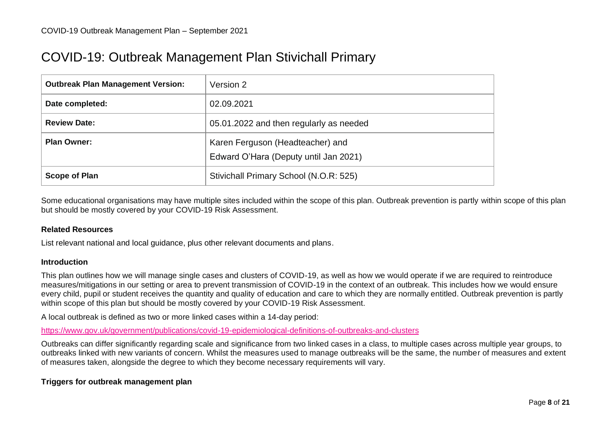# COVID-19: Outbreak Management Plan Stivichall Primary

| <b>Outbreak Plan Management Version:</b> | Version 2                                                                 |
|------------------------------------------|---------------------------------------------------------------------------|
| Date completed:                          | 02.09.2021                                                                |
| <b>Review Date:</b>                      | 05.01.2022 and then regularly as needed                                   |
| <b>Plan Owner:</b>                       | Karen Ferguson (Headteacher) and<br>Edward O'Hara (Deputy until Jan 2021) |
| <b>Scope of Plan</b>                     | Stivichall Primary School (N.O.R: 525)                                    |

Some educational organisations may have multiple sites included within the scope of this plan. Outbreak prevention is partly within scope of this plan but should be mostly covered by your COVID-19 Risk Assessment.

#### **Related Resources**

List relevant national and local guidance, plus other relevant documents and plans.

#### **Introduction**

This plan outlines how we will manage single cases and clusters of COVID-19, as well as how we would operate if we are required to reintroduce measures/mitigations in our setting or area to prevent transmission of COVID-19 in the context of an outbreak. This includes how we would ensure every child, pupil or student receives the quantity and quality of education and care to which they are normally entitled. Outbreak prevention is partly within scope of this plan but should be mostly covered by your COVID-19 Risk Assessment.

A local outbreak is defined as two or more linked cases within a 14-day period:

<https://www.gov.uk/government/publications/covid-19-epidemiological-definitions-of-outbreaks-and-clusters>

Outbreaks can differ significantly regarding scale and significance from two linked cases in a class, to multiple cases across multiple year groups, to outbreaks linked with new variants of concern. Whilst the measures used to manage outbreaks will be the same, the number of measures and extent of measures taken, alongside the degree to which they become necessary requirements will vary.

#### **Triggers for outbreak management plan**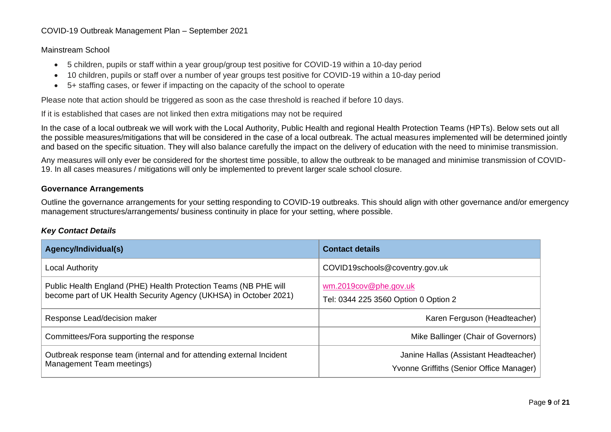#### Mainstream School

- 5 children, pupils or staff within a year group/group test positive for COVID-19 within a 10-day period
- 10 children, pupils or staff over a number of year groups test positive for COVID-19 within a 10-day period
- 5+ staffing cases, or fewer if impacting on the capacity of the school to operate

Please note that action should be triggered as soon as the case threshold is reached if before 10 days.

If it is established that cases are not linked then extra mitigations may not be required

In the case of a local outbreak we will work with the Local Authority, Public Health and regional Health Protection Teams (HPTs). Below sets out all the possible measures/mitigations that will be considered in the case of a local outbreak. The actual measures implemented will be determined jointly and based on the specific situation. They will also balance carefully the impact on the delivery of education with the need to minimise transmission.

Any measures will only ever be considered for the shortest time possible, to allow the outbreak to be managed and minimise transmission of COVID-19. In all cases measures / mitigations will only be implemented to prevent larger scale school closure.

#### **Governance Arrangements**

Outline the governance arrangements for your setting responding to COVID-19 outbreaks. This should align with other governance and/or emergency management structures/arrangements/ business continuity in place for your setting, where possible.

#### *Key Contact Details*

| Agency/Individual(s)                                                                                                                  | <b>Contact details</b>                                                            |
|---------------------------------------------------------------------------------------------------------------------------------------|-----------------------------------------------------------------------------------|
| <b>Local Authority</b>                                                                                                                | COVID19schools@coventry.gov.uk                                                    |
| Public Health England (PHE) Health Protection Teams (NB PHE will<br>become part of UK Health Security Agency (UKHSA) in October 2021) | wm.2019cov@phe.gov.uk<br>Tel: 0344 225 3560 Option 0 Option 2                     |
| Response Lead/decision maker                                                                                                          | Karen Ferguson (Headteacher)                                                      |
| Committees/Fora supporting the response                                                                                               | Mike Ballinger (Chair of Governors)                                               |
| Outbreak response team (internal and for attending external Incident<br>Management Team meetings)                                     | Janine Hallas (Assistant Headteacher)<br>Yvonne Griffiths (Senior Office Manager) |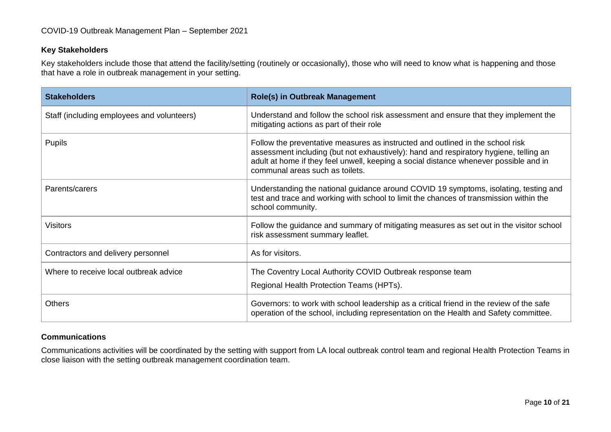#### **Key Stakeholders**

Key stakeholders include those that attend the facility/setting (routinely or occasionally), those who will need to know what is happening and those that have a role in outbreak management in your setting.

| <b>Stakeholders</b>                        | <b>Role(s) in Outbreak Management</b>                                                                                                                                                                                                                                                               |
|--------------------------------------------|-----------------------------------------------------------------------------------------------------------------------------------------------------------------------------------------------------------------------------------------------------------------------------------------------------|
| Staff (including employees and volunteers) | Understand and follow the school risk assessment and ensure that they implement the<br>mitigating actions as part of their role                                                                                                                                                                     |
| Pupils                                     | Follow the preventative measures as instructed and outlined in the school risk<br>assessment including (but not exhaustively): hand and respiratory hygiene, telling an<br>adult at home if they feel unwell, keeping a social distance whenever possible and in<br>communal areas such as toilets. |
| Parents/carers                             | Understanding the national guidance around COVID 19 symptoms, isolating, testing and<br>test and trace and working with school to limit the chances of transmission within the<br>school community.                                                                                                 |
| <b>Visitors</b>                            | Follow the guidance and summary of mitigating measures as set out in the visitor school<br>risk assessment summary leaflet.                                                                                                                                                                         |
| Contractors and delivery personnel         | As for visitors.                                                                                                                                                                                                                                                                                    |
| Where to receive local outbreak advice     | The Coventry Local Authority COVID Outbreak response team<br>Regional Health Protection Teams (HPTs).                                                                                                                                                                                               |
| <b>Others</b>                              | Governors: to work with school leadership as a critical friend in the review of the safe<br>operation of the school, including representation on the Health and Safety committee.                                                                                                                   |

#### **Communications**

Communications activities will be coordinated by the setting with support from LA local outbreak control team and regional Health Protection Teams in close liaison with the setting outbreak management coordination team.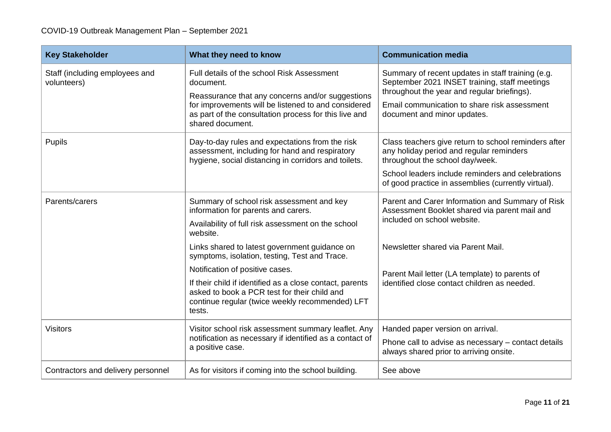| <b>Key Stakeholder</b>                        | What they need to know                                                                                                                                                                                                                                                                                                                                                                                                                                           | <b>Communication media</b>                                                                                                                                                                                                                                               |
|-----------------------------------------------|------------------------------------------------------------------------------------------------------------------------------------------------------------------------------------------------------------------------------------------------------------------------------------------------------------------------------------------------------------------------------------------------------------------------------------------------------------------|--------------------------------------------------------------------------------------------------------------------------------------------------------------------------------------------------------------------------------------------------------------------------|
| Staff (including employees and<br>volunteers) | Full details of the school Risk Assessment<br>document.<br>Reassurance that any concerns and/or suggestions<br>for improvements will be listened to and considered<br>as part of the consultation process for this live and<br>shared document.                                                                                                                                                                                                                  | Summary of recent updates in staff training (e.g.<br>September 2021 INSET training, staff meetings<br>throughout the year and regular briefings).<br>Email communication to share risk assessment<br>document and minor updates.                                         |
| <b>Pupils</b>                                 | Day-to-day rules and expectations from the risk<br>assessment, including for hand and respiratory<br>hygiene, social distancing in corridors and toilets.                                                                                                                                                                                                                                                                                                        | Class teachers give return to school reminders after<br>any holiday period and regular reminders<br>throughout the school day/week.<br>School leaders include reminders and celebrations<br>of good practice in assemblies (currently virtual).                          |
| Parents/carers                                | Summary of school risk assessment and key<br>information for parents and carers.<br>Availability of full risk assessment on the school<br>website.<br>Links shared to latest government guidance on<br>symptoms, isolation, testing, Test and Trace.<br>Notification of positive cases.<br>If their child if identified as a close contact, parents<br>asked to book a PCR test for their child and<br>continue regular (twice weekly recommended) LFT<br>tests. | Parent and Carer Information and Summary of Risk<br>Assessment Booklet shared via parent mail and<br>included on school website.<br>Newsletter shared via Parent Mail.<br>Parent Mail letter (LA template) to parents of<br>identified close contact children as needed. |
| <b>Visitors</b>                               | Visitor school risk assessment summary leaflet. Any<br>notification as necessary if identified as a contact of<br>a positive case.                                                                                                                                                                                                                                                                                                                               | Handed paper version on arrival.<br>Phone call to advise as necessary - contact details<br>always shared prior to arriving onsite.                                                                                                                                       |
| Contractors and delivery personnel            | As for visitors if coming into the school building.                                                                                                                                                                                                                                                                                                                                                                                                              | See above                                                                                                                                                                                                                                                                |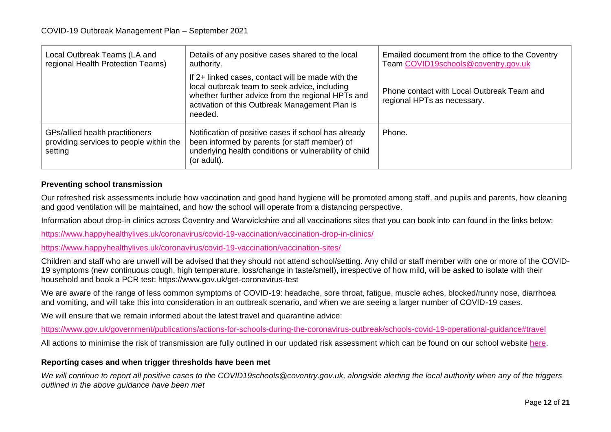| Local Outbreak Teams (LA and<br>regional Health Protection Teams)                     | Details of any positive cases shared to the local<br>authority.                                                                                                                                                      | Emailed document from the office to the Coventry<br>Team COVID19schools@coventry.gov.uk |
|---------------------------------------------------------------------------------------|----------------------------------------------------------------------------------------------------------------------------------------------------------------------------------------------------------------------|-----------------------------------------------------------------------------------------|
|                                                                                       | If 2+ linked cases, contact will be made with the<br>local outbreak team to seek advice, including<br>whether further advice from the regional HPTs and<br>activation of this Outbreak Management Plan is<br>needed. | Phone contact with Local Outbreak Team and<br>regional HPTs as necessary.               |
| GPs/allied health practitioners<br>providing services to people within the<br>setting | Notification of positive cases if school has already<br>been informed by parents (or staff member) of<br>underlying health conditions or vulnerability of child<br>(or adult).                                       | Phone.                                                                                  |

#### **Preventing school transmission**

Our refreshed risk assessments include how vaccination and good hand hygiene will be promoted among staff, and pupils and parents, how cleaning and good ventilation will be maintained, and how the school will operate from a distancing perspective.

Information about drop-in clinics across Coventry and Warwickshire and all vaccinations sites that you can book into can found in the links below:

<https://www.happyhealthylives.uk/coronavirus/covid-19-vaccination/vaccination-drop-in-clinics/>

<https://www.happyhealthylives.uk/coronavirus/covid-19-vaccination/vaccination-sites/>

Children and staff who are unwell will be advised that they should not attend school/setting. Any child or staff member with one or more of the COVID-19 symptoms (new continuous cough, high temperature, loss/change in taste/smell), irrespective of how mild, will be asked to isolate with their household and book a PCR test: https://www.gov.uk/get-coronavirus-test

We are aware of the range of less common symptoms of COVID-19: headache, sore throat, fatigue, muscle aches, blocked/runny nose, diarrhoea and vomiting, and will take this into consideration in an outbreak scenario, and when we are seeing a larger number of COVID-19 cases.

We will ensure that we remain informed about the latest travel and quarantine advice:

<https://www.gov.uk/government/publications/actions-for-schools-during-the-coronavirus-outbreak/schools-covid-19-operational-guidance#travel>

All actions to minimise the risk of transmission are fully outlined in our updated risk assessment which can be found on our school website [here.](https://www.stivichallprimary.org/page/?title=COVID%2D19+Documents&pid=123)

#### **Reporting cases and when trigger thresholds have been met**

*We will continue to report all positive cases to the COVID19schools@coventry.gov.uk, alongside alerting the local authority when any of the triggers outlined in the above guidance have been met*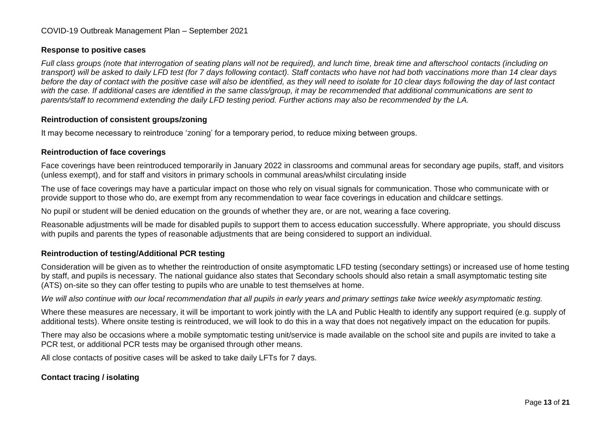#### **Response to positive cases**

*Full class groups (note that interrogation of seating plans will not be required), and lunch time, break time and afterschool contacts (including on transport) will be asked to daily LFD test (for 7 days following contact). Staff contacts who have not had both vaccinations more than 14 clear days before the day of contact with the positive case will also be identified, as they will need to isolate for 10 clear days following the day of last contact with the case. If additional cases are identified in the same class/group, it may be recommended that additional communications are sent to parents/staff to recommend extending the daily LFD testing period. Further actions may also be recommended by the LA.* 

#### **Reintroduction of consistent groups/zoning**

It may become necessary to reintroduce 'zoning' for a temporary period, to reduce mixing between groups.

#### **Reintroduction of face coverings**

Face coverings have been reintroduced temporarily in January 2022 in classrooms and communal areas for secondary age pupils, staff, and visitors (unless exempt), and for staff and visitors in primary schools in communal areas/whilst circulating inside

The use of face coverings may have a particular impact on those who rely on visual signals for communication. Those who communicate with or provide support to those who do, are exempt from any recommendation to wear face coverings in education and childcare settings.

No pupil or student will be denied education on the grounds of whether they are, or are not, wearing a face covering.

Reasonable adjustments will be made for disabled pupils to support them to access education successfully. Where appropriate, you should discuss with pupils and parents the types of reasonable adjustments that are being considered to support an individual.

# **Reintroduction of testing/Additional PCR testing**

Consideration will be given as to whether the reintroduction of onsite asymptomatic LFD testing (secondary settings) or increased use of home testing by staff, and pupils is necessary. The national guidance also states that Secondary schools should also retain a small asymptomatic testing site (ATS) on-site so they can offer testing to pupils who are unable to test themselves at home.

*We will also continue with our local recommendation that all pupils in early years and primary settings take twice weekly asymptomatic testing.*

Where these measures are necessary, it will be important to work jointly with the LA and Public Health to identify any support required (e.g. supply of additional tests). Where onsite testing is reintroduced, we will look to do this in a way that does not negatively impact on the education for pupils.

There may also be occasions where a mobile symptomatic testing unit/service is made available on the school site and pupils are invited to take a PCR test, or additional PCR tests may be organised through other means.

All close contacts of positive cases will be asked to take daily LFTs for 7 days.

#### **Contact tracing / isolating**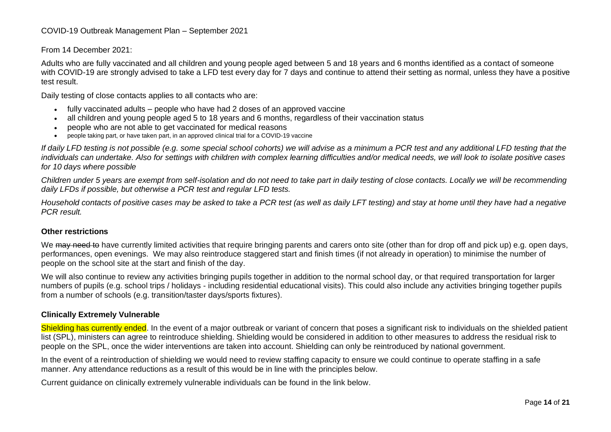#### From 14 December 2021:

Adults who are fully vaccinated and all children and young people aged between 5 and 18 years and 6 months identified as a contact of someone with COVID-19 are strongly advised to take a LFD test every day for 7 days and continue to attend their setting as normal, unless they have a positive test result.

Daily testing of close contacts applies to all contacts who are:

- fully vaccinated adults people who have had 2 doses of an approved vaccine
- all children and young people aged 5 to 18 years and 6 months, regardless of their vaccination status
- people who are not able to get vaccinated for medical reasons
- people taking part, or have taken part, in an approved clinical trial for a COVID-19 vaccine

*If daily LFD testing is not possible (e.g. some special school cohorts) we will advise as a minimum a PCR test and any additional LFD testing that the individuals can undertake. Also for settings with children with complex learning difficulties and/or medical needs, we will look to isolate positive cases for 10 days where possible* 

*Children under 5 years are exempt from self-isolation and do not need to take part in daily testing of close contacts. Locally we will be recommending daily LFDs if possible, but otherwise a PCR test and regular LFD tests.*

*Household contacts of positive cases may be asked to take a PCR test (as well as daily LFT testing) and stay at home until they have had a negative PCR result.*

#### **Other restrictions**

We may need to have currently limited activities that require bringing parents and carers onto site (other than for drop off and pick up) e.g. open days, performances, open evenings. We may also reintroduce staggered start and finish times (if not already in operation) to minimise the number of people on the school site at the start and finish of the day.

We will also continue to review any activities bringing pupils together in addition to the normal school day, or that required transportation for larger numbers of pupils (e.g. school trips / holidays - including residential educational visits). This could also include any activities bringing together pupils from a number of schools (e.g. transition/taster days/sports fixtures).

#### **Clinically Extremely Vulnerable**

Shielding has currently ended. In the event of a major outbreak or variant of concern that poses a significant risk to individuals on the shielded patient list (SPL), ministers can agree to reintroduce shielding. Shielding would be considered in addition to other measures to address the residual risk to people on the SPL, once the wider interventions are taken into account. Shielding can only be reintroduced by national government.

In the event of a reintroduction of shielding we would need to review staffing capacity to ensure we could continue to operate staffing in a safe manner. Any attendance reductions as a result of this would be in line with the principles below.

Current guidance on clinically extremely vulnerable individuals can be found in the link below.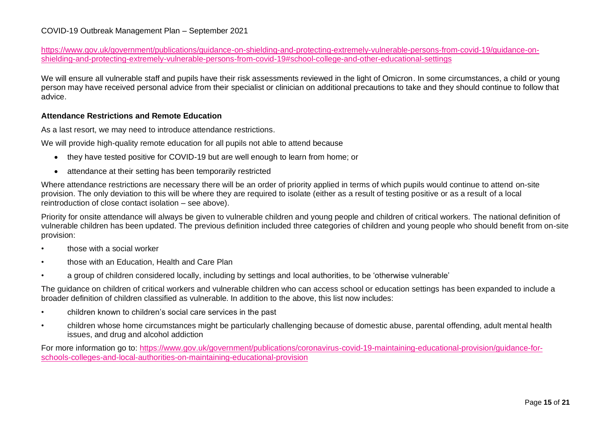[https://www.gov.uk/government/publications/guidance-on-shielding-and-protecting-extremely-vulnerable-persons-from-covid-19/guidance-on](https://www.gov.uk/government/publications/guidance-on-shielding-and-protecting-extremely-vulnerable-persons-from-covid-19/guidance-on-shielding-and-protecting-extremely-vulnerable-persons-from-covid-19#school-college-and-other-educational-settings)[shielding-and-protecting-extremely-vulnerable-persons-from-covid-19#school-college-and-other-educational-settings](https://www.gov.uk/government/publications/guidance-on-shielding-and-protecting-extremely-vulnerable-persons-from-covid-19/guidance-on-shielding-and-protecting-extremely-vulnerable-persons-from-covid-19#school-college-and-other-educational-settings)

We will ensure all vulnerable staff and pupils have their risk assessments reviewed in the light of Omicron. In some circumstances, a child or young person may have received personal advice from their specialist or clinician on additional precautions to take and they should continue to follow that advice.

#### **Attendance Restrictions and Remote Education**

As a last resort, we may need to introduce attendance restrictions.

We will provide high-quality remote education for all pupils not able to attend because

- they have tested positive for COVID-19 but are well enough to learn from home; or
- attendance at their setting has been temporarily restricted

Where attendance restrictions are necessary there will be an order of priority applied in terms of which pupils would continue to attend on-site provision. The only deviation to this will be where they are required to isolate (either as a result of testing positive or as a result of a local reintroduction of close contact isolation – see above).

Priority for onsite attendance will always be given to vulnerable children and young people and children of critical workers. The national definition of vulnerable children has been updated. The previous definition included three categories of children and young people who should benefit from on-site provision:

- those with a social worker
- those with an Education, Health and Care Plan
- a group of children considered locally, including by settings and local authorities, to be 'otherwise vulnerable'

The guidance on children of critical workers and vulnerable children who can access school or education settings has been expanded to include a broader definition of children classified as vulnerable. In addition to the above, this list now includes:

- children known to children's social care services in the past
- children whose home circumstances might be particularly challenging because of domestic abuse, parental offending, adult mental health issues, and drug and alcohol addiction

For more information go to: [https://www.gov.uk/government/publications/coronavirus-covid-19-maintaining-educational-provision/guidance-for](https://www.gov.uk/government/publications/coronavirus-covid-19-maintaining-educational-provision/guidance-for-schools-colleges-and-local-authorities-on-maintaining-educational-provision)[schools-colleges-and-local-authorities-on-maintaining-educational-provision](https://www.gov.uk/government/publications/coronavirus-covid-19-maintaining-educational-provision/guidance-for-schools-colleges-and-local-authorities-on-maintaining-educational-provision)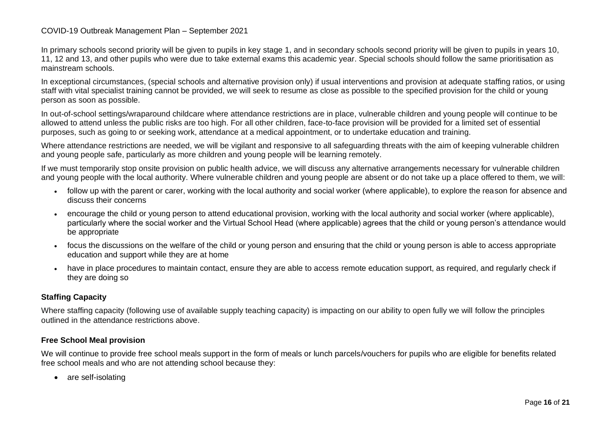In primary schools second priority will be given to pupils in key stage 1, and in secondary schools second priority will be given to pupils in years 10, 11, 12 and 13, and other pupils who were due to take external exams this academic year. Special schools should follow the same prioritisation as mainstream schools.

In exceptional circumstances, (special schools and alternative provision only) if usual interventions and provision at adequate staffing ratios, or using staff with vital specialist training cannot be provided, we will seek to resume as close as possible to the specified provision for the child or young person as soon as possible.

In out-of-school settings/wraparound childcare where attendance restrictions are in place, vulnerable children and young people will continue to be allowed to attend unless the public risks are too high. For all other children, face-to-face provision will be provided for a limited set of essential purposes, such as going to or seeking work, attendance at a medical appointment, or to undertake education and training.

Where attendance restrictions are needed, we will be vigilant and responsive to all safeguarding threats with the aim of keeping vulnerable children and young people safe, particularly as more children and young people will be learning remotely.

If we must temporarily stop onsite provision on public health advice, we will discuss any alternative arrangements necessary for vulnerable children and young people with the local authority. Where vulnerable children and young people are absent or do not take up a place offered to them, we will:

- follow up with the parent or carer, working with the local authority and social worker (where applicable), to explore the reason for absence and discuss their concerns
- encourage the child or young person to attend educational provision, working with the local authority and social worker (where applicable), particularly where the social worker and the Virtual School Head (where applicable) agrees that the child or young person's attendance would be appropriate
- focus the discussions on the welfare of the child or young person and ensuring that the child or young person is able to access appropriate education and support while they are at home
- have in place procedures to maintain contact, ensure they are able to access remote education support, as required, and regularly check if they are doing so

# **Staffing Capacity**

Where staffing capacity (following use of available supply teaching capacity) is impacting on our ability to open fully we will follow the principles outlined in the attendance restrictions above.

# **Free School Meal provision**

We will continue to provide free school meals support in the form of meals or lunch parcels/vouchers for pupils who are eligible for benefits related free school meals and who are not attending school because they:

• are self-isolating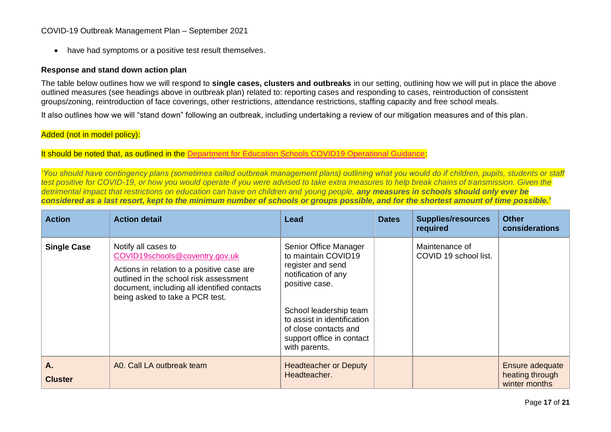• have had symptoms or a positive test result themselves.

#### **Response and stand down action plan**

The table below outlines how we will respond to **single cases, clusters and outbreaks** in our setting, outlining how we will put in place the above outlined measures (see headings above in outbreak plan) related to: reporting cases and responding to cases, reintroduction of consistent groups/zoning, reintroduction of face coverings, other restrictions, attendance restrictions, staffing capacity and free school meals.

It also outlines how we will "stand down" following an outbreak, including undertaking a review of our mitigation measures and of this plan.

# Added (not in model policy):

#### It should be noted that, as outlined in the [Department for Education Schools COVID19 Operational Guidance:](https://www.gov.uk/government/publications/actions-for-schools-during-the-coronavirus-outbreak/schools-covid-19-operational-guidance#overview)

*'You should have contingency plans (sometimes called outbreak management plans) outlining what you would do if children, pupils, students or staff test positive for COVID-19, or how you would operate if you were advised to take extra measures to help break chains of transmission. Given the detrimental impact that restrictions on education can have on children and young people, any measures in schools should only ever be considered as a last resort, kept to the minimum number of schools or groups possible, and for the shortest amount of time possible.'*

| <b>Action</b>        | <b>Action detail</b>                                                                                                                                                                                                            | Lead                                                                                                                                                                                                                                       | <b>Dates</b> | <b>Supplies/resources</b><br>required   | <b>Other</b><br>considerations                      |
|----------------------|---------------------------------------------------------------------------------------------------------------------------------------------------------------------------------------------------------------------------------|--------------------------------------------------------------------------------------------------------------------------------------------------------------------------------------------------------------------------------------------|--------------|-----------------------------------------|-----------------------------------------------------|
| <b>Single Case</b>   | Notify all cases to<br>COVID19schools@coventry.gov.uk<br>Actions in relation to a positive case are<br>outlined in the school risk assessment<br>document, including all identified contacts<br>being asked to take a PCR test. | Senior Office Manager<br>to maintain COVID19<br>register and send<br>notification of any<br>positive case.<br>School leadership team<br>to assist in identification<br>of close contacts and<br>support office in contact<br>with parents. |              | Maintenance of<br>COVID 19 school list. |                                                     |
| А.<br><b>Cluster</b> | A0. Call LA outbreak team                                                                                                                                                                                                       | <b>Headteacher or Deputy</b><br>Headteacher.                                                                                                                                                                                               |              |                                         | Ensure adequate<br>heating through<br>winter months |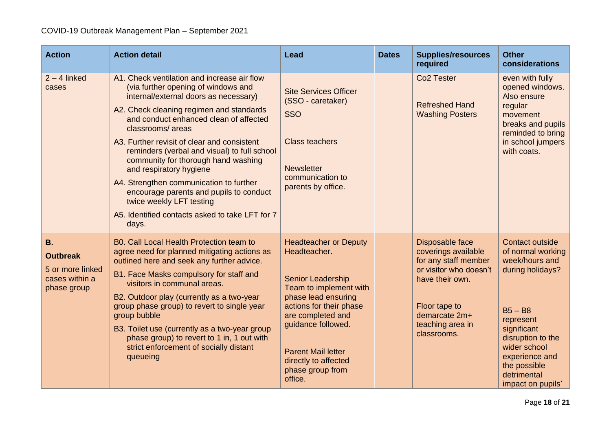| <b>Action</b>                                                                     | <b>Action detail</b>                                                                                                                                                                                                                                                                                                                                                                                                                                                                                                                                                                 | <b>Lead</b>                                                                                                                                                                                                                                                                  | <b>Dates</b> | <b>Supplies/resources</b><br>required                                                                                                                                            | <b>Other</b><br>considerations                                                                                                                                                                                                        |
|-----------------------------------------------------------------------------------|--------------------------------------------------------------------------------------------------------------------------------------------------------------------------------------------------------------------------------------------------------------------------------------------------------------------------------------------------------------------------------------------------------------------------------------------------------------------------------------------------------------------------------------------------------------------------------------|------------------------------------------------------------------------------------------------------------------------------------------------------------------------------------------------------------------------------------------------------------------------------|--------------|----------------------------------------------------------------------------------------------------------------------------------------------------------------------------------|---------------------------------------------------------------------------------------------------------------------------------------------------------------------------------------------------------------------------------------|
| $2 - 4$ linked<br>cases                                                           | A1. Check ventilation and increase air flow<br>(via further opening of windows and<br>internal/external doors as necessary)<br>A2. Check cleaning regimen and standards<br>and conduct enhanced clean of affected<br>classrooms/areas<br>A3. Further revisit of clear and consistent<br>reminders (verbal and visual) to full school<br>community for thorough hand washing<br>and respiratory hygiene<br>A4. Strengthen communication to further<br>encourage parents and pupils to conduct<br>twice weekly LFT testing<br>A5. Identified contacts asked to take LFT for 7<br>days. | <b>Site Services Officer</b><br>(SSO - caretaker)<br><b>SSO</b><br><b>Class teachers</b><br><b>Newsletter</b><br>communication to<br>parents by office.                                                                                                                      |              | Co <sub>2</sub> Tester<br><b>Refreshed Hand</b><br><b>Washing Posters</b>                                                                                                        | even with fully<br>opened windows.<br>Also ensure<br>regular<br>movement<br>breaks and pupils<br>reminded to bring<br>in school jumpers<br>with coats.                                                                                |
| <b>B.</b><br><b>Outbreak</b><br>5 or more linked<br>cases within a<br>phase group | B0. Call Local Health Protection team to<br>agree need for planned mitigating actions as<br>outlined here and seek any further advice.<br>B1. Face Masks compulsory for staff and<br>visitors in communal areas.<br>B2. Outdoor play (currently as a two-year<br>group phase group) to revert to single year<br>group bubble<br>B3. Toilet use (currently as a two-year group<br>phase group) to revert to 1 in, 1 out with<br>strict enforcement of socially distant<br>queueing                                                                                                    | <b>Headteacher or Deputy</b><br>Headteacher.<br>Senior Leadership<br>Team to implement with<br>phase lead ensuring<br>actions for their phase<br>are completed and<br>guidance followed.<br><b>Parent Mail letter</b><br>directly to affected<br>phase group from<br>office. |              | Disposable face<br>coverings available<br>for any staff member<br>or visitor who doesn't<br>have their own.<br>Floor tape to<br>demarcate 2m+<br>teaching area in<br>classrooms. | <b>Contact outside</b><br>of normal working<br>week/hours and<br>during holidays?<br>$B5 - B8$<br>represent<br>significant<br>disruption to the<br>wider school<br>experience and<br>the possible<br>detrimental<br>impact on pupils' |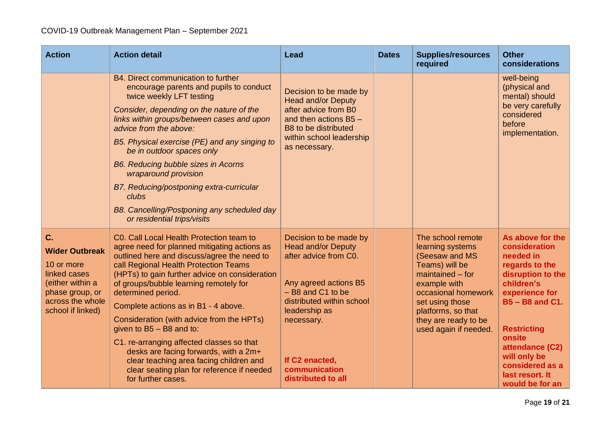| <b>Action</b>                                                                                                                             | <b>Action detail</b>                                                                                                                                                                                                                                                                                                                                                                                                                                                                                                                                                                                                       | Lead                                                                                                                                                                                                                                              | <b>Dates</b> | <b>Supplies/resources</b><br>required                                                                                                                                                                                            | <b>Other</b><br>considerations                                                                                                                                                                                                                                            |
|-------------------------------------------------------------------------------------------------------------------------------------------|----------------------------------------------------------------------------------------------------------------------------------------------------------------------------------------------------------------------------------------------------------------------------------------------------------------------------------------------------------------------------------------------------------------------------------------------------------------------------------------------------------------------------------------------------------------------------------------------------------------------------|---------------------------------------------------------------------------------------------------------------------------------------------------------------------------------------------------------------------------------------------------|--------------|----------------------------------------------------------------------------------------------------------------------------------------------------------------------------------------------------------------------------------|---------------------------------------------------------------------------------------------------------------------------------------------------------------------------------------------------------------------------------------------------------------------------|
|                                                                                                                                           | B4. Direct communication to further<br>encourage parents and pupils to conduct<br>twice weekly LFT testing<br>Consider, depending on the nature of the<br>links within groups/between cases and upon<br>advice from the above:<br>B5. Physical exercise (PE) and any singing to<br>be in outdoor spaces only<br>B6. Reducing bubble sizes in Acorns<br>wraparound provision<br>B7. Reducing/postponing extra-curricular<br>clubs<br>B8. Cancelling/Postponing any scheduled day<br>or residential trips/visits                                                                                                             | Decision to be made by<br><b>Head and/or Deputy</b><br>after advice from B0<br>and then actions $B5 -$<br>B8 to be distributed<br>within school leadership<br>as necessary.                                                                       |              |                                                                                                                                                                                                                                  | well-being<br>(physical and<br>mental) should<br>be very carefully<br>considered<br>before<br>implementation.                                                                                                                                                             |
| C.<br><b>Wider Outbreak</b><br>10 or more<br>linked cases<br>(either within a<br>phase group, or<br>across the whole<br>school if linked) | C0. Call Local Health Protection team to<br>agree need for planned mitigating actions as<br>outlined here and discuss/agree the need to<br>call Regional Health Protection Teams<br>(HPTs) to gain further advice on consideration<br>of groups/bubble learning remotely for<br>determined period.<br>Complete actions as in B1 - 4 above.<br>Consideration (with advice from the HPTs)<br>given to $B5 - B8$ and to:<br>C1. re-arranging affected classes so that<br>desks are facing forwards, with a 2m+<br>clear teaching area facing children and<br>clear seating plan for reference if needed<br>for further cases. | Decision to be made by<br><b>Head and/or Deputy</b><br>after advice from C0.<br>Any agreed actions B5<br>$-$ B8 and C1 to be<br>distributed within school<br>leadership as<br>necessary.<br>If C2 enacted,<br>communication<br>distributed to all |              | The school remote<br>learning systems<br>(Seesaw and MS<br>Teams) will be<br>$maintained - for$<br>example with<br>occasional homework<br>set using those<br>platforms, so that<br>they are ready to be<br>used again if needed. | As above for the<br>consideration<br>needed in<br>regards to the<br>disruption to the<br>children's<br>experience for<br><b>B5-B8 and C1.</b><br><b>Restricting</b><br>onsite<br>attendance (C2)<br>will only be<br>considered as a<br>last resort. It<br>would be for an |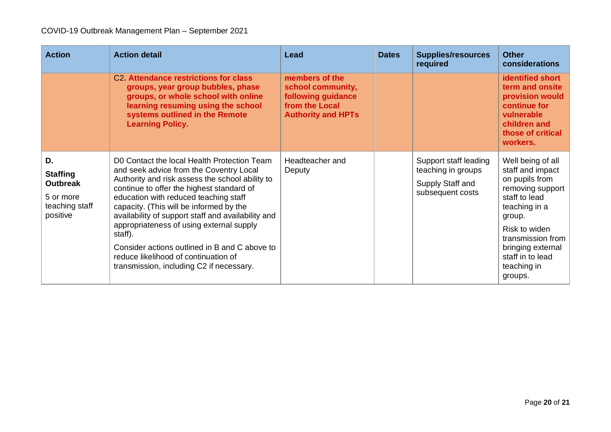| <b>Action</b>                                                                       | <b>Action detail</b>                                                                                                                                                                                                                                                                                                                                                                                                                                                                                                         | Lead                                                                                                     | <b>Dates</b> | <b>Supplies/resources</b><br>required                                               | <b>Other</b><br>considerations                                                                                                                                                                                                   |
|-------------------------------------------------------------------------------------|------------------------------------------------------------------------------------------------------------------------------------------------------------------------------------------------------------------------------------------------------------------------------------------------------------------------------------------------------------------------------------------------------------------------------------------------------------------------------------------------------------------------------|----------------------------------------------------------------------------------------------------------|--------------|-------------------------------------------------------------------------------------|----------------------------------------------------------------------------------------------------------------------------------------------------------------------------------------------------------------------------------|
|                                                                                     | C <sub>2</sub> . Attendance restrictions for class<br>groups, year group bubbles, phase<br>groups, or whole school with online<br>learning resuming using the school<br>systems outlined in the Remote<br><b>Learning Policy.</b>                                                                                                                                                                                                                                                                                            | members of the<br>school community,<br>following guidance<br>from the Local<br><b>Authority and HPTs</b> |              |                                                                                     | <b>identified short</b><br>term and onsite<br>provision would<br>continue for<br>vulnerable<br>children and<br>those of critical<br>workers.                                                                                     |
| D.<br><b>Staffing</b><br><b>Outbreak</b><br>5 or more<br>teaching staff<br>positive | D0 Contact the local Health Protection Team<br>and seek advice from the Coventry Local<br>Authority and risk assess the school ability to<br>continue to offer the highest standard of<br>education with reduced teaching staff<br>capacity. (This will be informed by the<br>availability of support staff and availability and<br>appropriateness of using external supply<br>staff).<br>Consider actions outlined in B and C above to<br>reduce likelihood of continuation of<br>transmission, including C2 if necessary. | Headteacher and<br>Deputy                                                                                |              | Support staff leading<br>teaching in groups<br>Supply Staff and<br>subsequent costs | Well being of all<br>staff and impact<br>on pupils from<br>removing support<br>staff to lead<br>teaching in a<br>group.<br>Risk to widen<br>transmission from<br>bringing external<br>staff in to lead<br>teaching in<br>groups. |